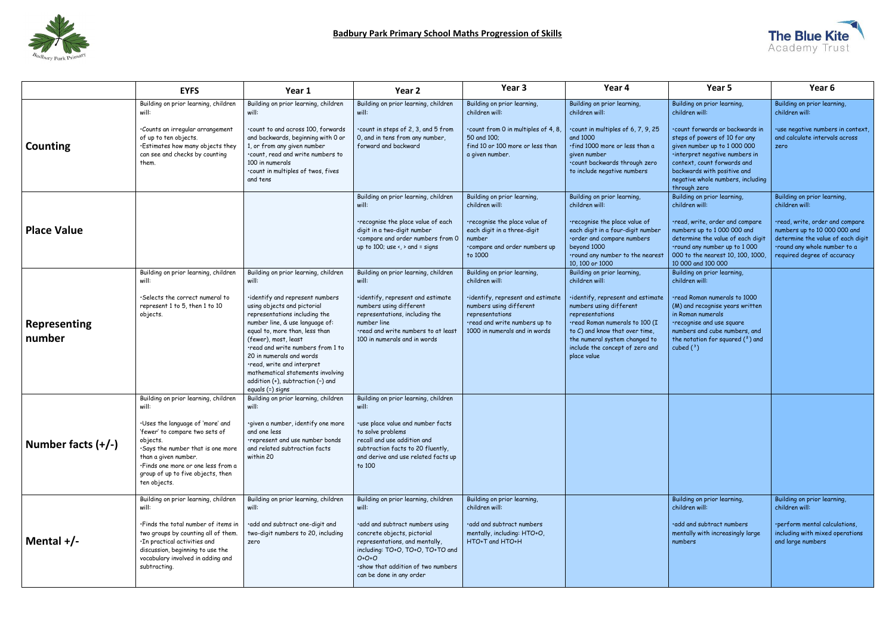

|                               | <b>EYFS</b>                                                                                                                                                                                                                                                                             | Year 1                                                                                                                                                                                                                                                                                                                                                                                                                                     | Year 2                                                                                                                                                                                                                                                             | Year <sub>3</sub>                                                                                                                                                                                  | Year 4                                                                                                                                                                                                                                                                                     | Year 5                                                                                                                                                                                                                                                                                                 | Year <sub>6</sub>                                                                                                                                                                                                    |
|-------------------------------|-----------------------------------------------------------------------------------------------------------------------------------------------------------------------------------------------------------------------------------------------------------------------------------------|--------------------------------------------------------------------------------------------------------------------------------------------------------------------------------------------------------------------------------------------------------------------------------------------------------------------------------------------------------------------------------------------------------------------------------------------|--------------------------------------------------------------------------------------------------------------------------------------------------------------------------------------------------------------------------------------------------------------------|----------------------------------------------------------------------------------------------------------------------------------------------------------------------------------------------------|--------------------------------------------------------------------------------------------------------------------------------------------------------------------------------------------------------------------------------------------------------------------------------------------|--------------------------------------------------------------------------------------------------------------------------------------------------------------------------------------------------------------------------------------------------------------------------------------------------------|----------------------------------------------------------------------------------------------------------------------------------------------------------------------------------------------------------------------|
| Counting                      | Building on prior learning, children<br>will:<br>·Counts an irregular arrangement<br>of up to ten objects.<br>.Estimates how many objects they<br>can see and checks by counting<br>them.                                                                                               | Building on prior learning, children<br>will:<br>.count to and across 100, forwards<br>and backwards, beginning with 0 or<br>1, or from any given number<br>.count, read and write numbers to<br>100 in numerals<br>.count in multiples of twos, fives<br>and tens                                                                                                                                                                         | Building on prior learning, children<br>will:<br>.count in steps of 2, 3, and 5 from<br>0, and in tens from any number,<br>forward and backward                                                                                                                    | Building on prior learning,<br>children will:<br>.count from 0 in multiples of 4, 8,<br>50 and 100;<br>find 10 or 100 more or less than<br>a given number.                                         | Building on prior learning,<br>children will:<br>.count in multiples of 6, 7, 9, 25<br>and 1000<br>·find 1000 more or less than a<br>given number<br>.count backwards through zero<br>to include negative numbers                                                                          | Building on prior learning,<br>children will:<br>.count forwards or backwards in<br>steps of powers of 10 for any<br>given number up to 1 000 000<br>·interpret negative numbers in<br>context, count forwards and<br>backwards with positive and<br>negative whole numbers, including<br>through zero | Building on prior learning,<br>children will:<br>·use negative numbers in context,<br>and calculate intervals across<br>zero                                                                                         |
| <b>Place Value</b>            |                                                                                                                                                                                                                                                                                         |                                                                                                                                                                                                                                                                                                                                                                                                                                            | Building on prior learning, children<br>will:<br>·recognise the place value of each<br>digit in a two-digit number<br>.compare and order numbers from 0<br>up to 100; use $\left\langle \right\rangle$ and = signs                                                 | Building on prior learning,<br>children will:<br>·recognise the place value of<br>each digit in a three-digit<br>number<br>·compare and order numbers up<br>to 1000                                | Building on prior learning,<br>children will:<br>·recognise the place value of<br>each digit in a four-digit number<br>.order and compare numbers<br>beyond 1000<br>.round any number to the nearest<br>10, 100 or 1000                                                                    | Building on prior learning,<br>children will:<br>·read, write, order and compare<br>numbers up to 1 000 000 and<br>determine the value of each digit<br>.round any number up to 1000<br>000 to the nearest 10, 100, 1000<br>10 000 and 100 000                                                         | Building on prior learning,<br>children will:<br>·read, write, order and compare<br>numbers up to 10 000 000 and<br>determine the value of each digit<br>.round any whole number to a<br>required degree of accuracy |
| <b>Representing</b><br>number | Building on prior learning, children<br>will:<br>. Selects the correct numeral to<br>represent 1 to 5, then 1 to 10<br>objects.                                                                                                                                                         | Building on prior learning, children<br>will:<br>·identify and represent numbers<br>using objects and pictorial<br>representations including the<br>number line, & use language of:<br>equal to, more than, less than<br>(fewer), most, least<br>.read and write numbers from 1 to<br>20 in numerals and words<br>.read, write and interpret<br>mathematical statements involving<br>addition (+), subtraction (-) and<br>equals (=) signs | Building on prior learning, children<br>will:<br>·identify, represent and estimate<br>numbers using different<br>representations, including the<br>number line<br>read and write numbers to at least<br>100 in numerals and in words                               | Building on prior learning,<br>children will:<br>·identify, represent and estimate<br>numbers using different<br>representations<br>·read and write numbers up to<br>1000 in numerals and in words | Building on prior learning,<br>children will:<br>·identify, represent and estimate<br>numbers using different<br>representations<br>·read Roman numerals to 100 (I<br>to $C$ ) and know that over time,<br>the numeral system changed to<br>include the concept of zero and<br>place value | Building on prior learning,<br>children will:<br>.read Roman numerals to 1000<br>(M) and recognise years written<br>in Roman numerals<br>recognise and use square<br>numbers and cube numbers, and<br>the notation for squared $(2)$ and<br>cubed $(^3)$                                               |                                                                                                                                                                                                                      |
| Number facts $(+/-)$          | Building on prior learning, children<br>will:<br>·Uses the language of 'more' and<br>'fewer' to compare two sets of<br>objects.<br>.Says the number that is one more<br>than a given number.<br>·Finds one more or one less from a<br>group of up to five objects, then<br>ten objects. | Building on prior learning, children<br>will:<br>·given a number, identify one more<br>and one less<br>·represent and use number bonds<br>and related subtraction facts<br>within 20                                                                                                                                                                                                                                                       | Building on prior learning, children<br>will:<br>·use place value and number facts<br>to solve problems<br>recall and use addition and<br>subtraction facts to 20 fluently,<br>and derive and use related facts up<br>to 100                                       |                                                                                                                                                                                                    |                                                                                                                                                                                                                                                                                            |                                                                                                                                                                                                                                                                                                        |                                                                                                                                                                                                                      |
| Mental $+/-$                  | Building on prior learning, children<br>will:<br>. Finds the total number of items in<br>two groups by counting all of them.<br>·In practical activities and<br>discussion, beginning to use the<br>vocabulary involved in adding and<br>subtracting.                                   | Building on prior learning, children<br>will:<br>·add and subtract one-digit and<br>two-digit numbers to 20, including<br>zero                                                                                                                                                                                                                                                                                                             | Building on prior learning, children<br>will:<br>·add and subtract numbers using<br>concrete objects, pictorial<br>representations, and mentally,<br>including: TO+O, TO+O, TO+TO and<br>$O+O+O$<br>.show that addition of two numbers<br>can be done in any order | Building on prior learning,<br>children will:<br>.add and subtract numbers<br>mentally, including: HTO+O,<br>HTO+T and HTO+H                                                                       |                                                                                                                                                                                                                                                                                            | Building on prior learning,<br>children will:<br>.add and subtract numbers<br>mentally with increasingly large<br>numbers                                                                                                                                                                              | Building on prior learning,<br>children will:<br>·perform mental calculations,<br>including with mixed operations<br>and large numbers                                                                               |

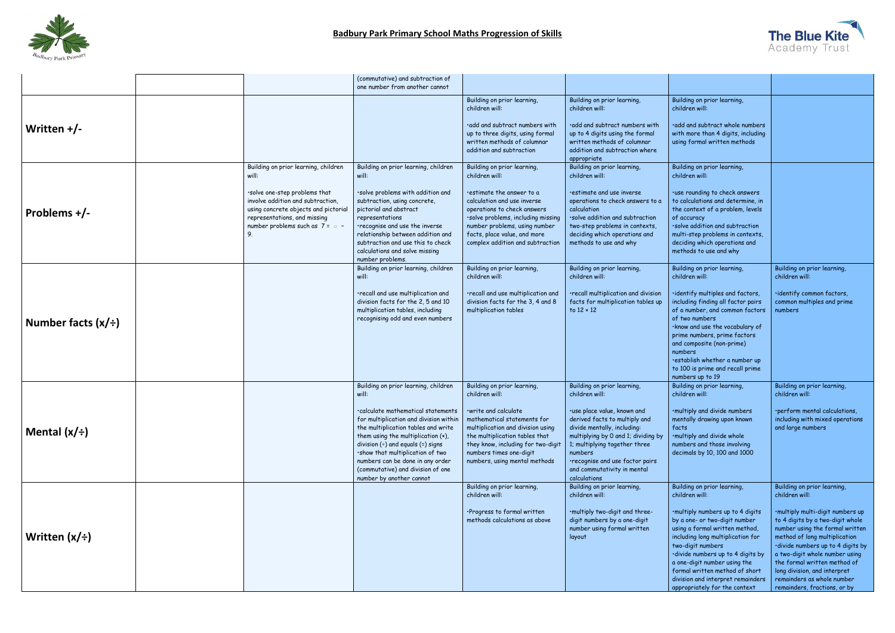

|                         |                                                                                                                                                                                                                                           | (commutative) and subtraction of<br>one number from another cannot                                                                                                                                                                                                                                                                                                                            |                                                                                                                                                                                                                                                                                    |                                                                                                                                                                                                                                                                                                                   |                                                                                                                                                                                                                                                                                                                                                                                             |                                                                                                                                                                                                                                                                                                                                                                                                |
|-------------------------|-------------------------------------------------------------------------------------------------------------------------------------------------------------------------------------------------------------------------------------------|-----------------------------------------------------------------------------------------------------------------------------------------------------------------------------------------------------------------------------------------------------------------------------------------------------------------------------------------------------------------------------------------------|------------------------------------------------------------------------------------------------------------------------------------------------------------------------------------------------------------------------------------------------------------------------------------|-------------------------------------------------------------------------------------------------------------------------------------------------------------------------------------------------------------------------------------------------------------------------------------------------------------------|---------------------------------------------------------------------------------------------------------------------------------------------------------------------------------------------------------------------------------------------------------------------------------------------------------------------------------------------------------------------------------------------|------------------------------------------------------------------------------------------------------------------------------------------------------------------------------------------------------------------------------------------------------------------------------------------------------------------------------------------------------------------------------------------------|
| Written $+/-$           |                                                                                                                                                                                                                                           |                                                                                                                                                                                                                                                                                                                                                                                               | Building on prior learning,<br>children will:<br>.add and subtract numbers with<br>up to three digits, using formal<br>written methods of columnar<br>addition and subtraction                                                                                                     | Building on prior learning,<br>children will:<br>.add and subtract numbers with<br>up to 4 digits using the formal<br>written methods of columnar<br>addition and subtraction where<br>appropriate                                                                                                                | Building on prior learning,<br>children will:<br>·add and subtract whole numbers<br>with more than 4 digits, including<br>using formal written methods                                                                                                                                                                                                                                      |                                                                                                                                                                                                                                                                                                                                                                                                |
| Problems $+/-$          | Building on prior learning, children<br>will:<br>·solve one-step problems that<br>involve addition and subtraction,<br>using concrete objects and pictorial<br>representations, and missing<br>number problems such as 7 = $\Box$ -<br>9. | Building on prior learning, children<br>will:<br>·solve problems with addition and<br>subtraction, using concrete,<br>pictorial and abstract<br>representations<br>•recognise and use the inverse<br>relationship between addition and<br>subtraction and use this to check<br>calculations and solve missing<br>number problems.                                                             | Building on prior learning,<br>children will:<br>estimate the answer to a<br>calculation and use inverse<br>operations to check answers<br>·solve problems, including missing<br>number problems, using number<br>facts, place value, and more<br>complex addition and subtraction | Building on prior learning,<br>children will:<br>estimate and use inverse<br>operations to check answers to a<br>calculation<br>·solve addition and subtraction<br>two-step problems in contexts,<br>deciding which operations and<br>methods to use and why                                                      | Building on prior learning,<br>children will:<br>·use rounding to check answers<br>to calculations and determine, in<br>the context of a problem, levels<br>of accuracy<br>·solve addition and subtraction<br>multi-step problems in contexts,<br>deciding which operations and<br>methods to use and why                                                                                   |                                                                                                                                                                                                                                                                                                                                                                                                |
| Number facts $(x/\div)$ |                                                                                                                                                                                                                                           | Building on prior learning, children<br>will:<br>·recall and use multiplication and<br>division facts for the 2, 5 and 10<br>multiplication tables, including<br>recognising odd and even numbers                                                                                                                                                                                             | Building on prior learning,<br>children will:<br>·recall and use multiplication and<br>division facts for the 3, 4 and 8<br>multiplication tables                                                                                                                                  | Building on prior learning,<br>children will:<br>·recall multiplication and division<br>facts for multiplication tables up<br>to $12 \times 12$                                                                                                                                                                   | Building on prior learning,<br>children will:<br>·identify multiples and factors,<br>including finding all factor pairs<br>of a number, and common factors<br>of two numbers<br>·know and use the vocabulary of<br>prime numbers, prime factors<br>and composite (non-prime)<br>numbers<br>·establish whether a number up<br>to 100 is prime and recall prime<br>numbers up to 19           | Building on prior learning,<br>children will:<br>·identify common factors,<br>common multiples and prime<br>numbers                                                                                                                                                                                                                                                                            |
| Mental $(x/\div)$       |                                                                                                                                                                                                                                           | Building on prior learning, children<br>will:<br>·calculate mathematical statements<br>for multiplication and division within<br>the multiplication tables and write<br>them using the multiplication (x),<br>division $(\div)$ and equals (=) signs<br>.show that multiplication of two<br>numbers can be done in any order<br>(commutative) and division of one<br>number by another cannot | Building on prior learning,<br>children will:<br>·write and calculate<br>mathematical statements for<br>multiplication and division using<br>the multiplication tables that<br>they know, including for two-digit<br>numbers times one-digit<br>numbers, using mental methods      | Building on prior learning,<br>children will:<br>·use place value, known and<br>derived facts to multiply and<br>divide mentally, including:<br>multiplying by 0 and 1; dividing by<br>1; multiplying together three<br>numbers<br>·recognise and use factor pairs<br>and commutativity in mental<br>calculations | Building on prior learning,<br>children will:<br>·multiply and divide numbers<br>mentally drawing upon known<br>facts<br>·multiply and divide whole<br>numbers and those involving<br>decimals by 10, 100 and 1000                                                                                                                                                                          | Building on prior learning,<br>children will:<br>·perform mental calculations,<br>including with mixed operations<br>and large numbers                                                                                                                                                                                                                                                         |
| Written $(x/\div)$      |                                                                                                                                                                                                                                           |                                                                                                                                                                                                                                                                                                                                                                                               | Building on prior learning,<br>children will:<br>·Progress to formal written<br>methods calculations as above                                                                                                                                                                      | Building on prior learning,<br>children will:<br>·multiply two-digit and three-<br>digit numbers by a one-digit<br>number using formal written<br>layout                                                                                                                                                          | Building on prior learning,<br>children will:<br>.multiply numbers up to 4 digits<br>by a one- or two-digit number<br>using a formal written method,<br>including long multiplication for<br>two-digit numbers<br>·divide numbers up to 4 digits by<br>a one-digit number using the<br>formal written method of short<br>division and interpret remainders<br>appropriately for the context | Building on prior learning,<br>children will:<br>·multiply multi-digit numbers up<br>to 4 digits by a two-digit whole<br>number using the formal written<br>method of long multiplication<br>·divide numbers up to 4 digits by<br>a two-digit whole number using<br>the formal written method of<br>long division, and interpret<br>remainders as whole number<br>remainders, fractions, or by |

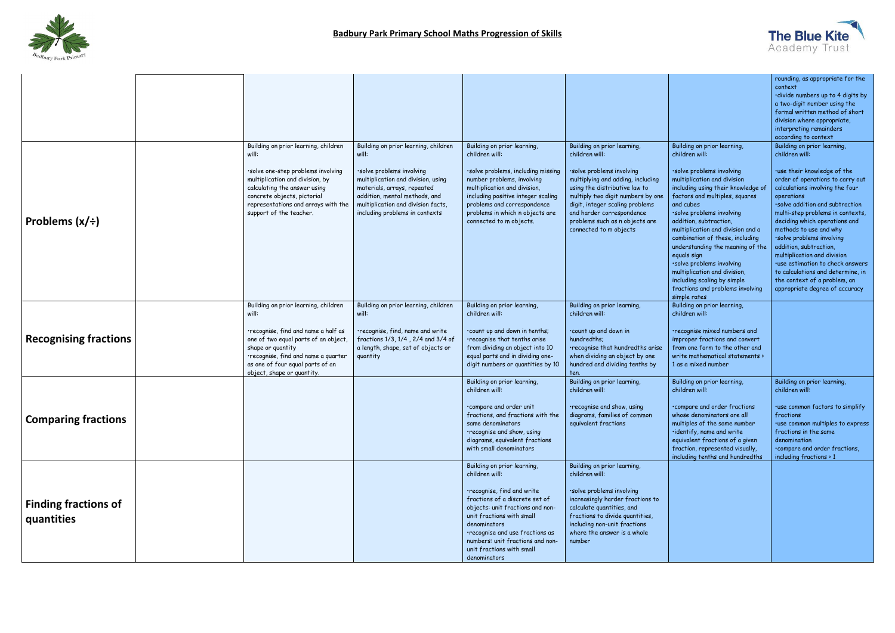

|                                       |                                                                                                                                                                                                                                                            |                                                                                                                                                                                                                                                          |                                                                                                                                                                                                                                                                                                                    |                                                                                                                                                                                                                                                                                                                   |                                                                                                                                                                                                                                                                                                                                                                                                                                                                                                                                  | rounding, as appropriate for the<br>context<br>·divide numbers up to 4 digits by<br>a two-digit number using the<br>formal written method of short<br>division where appropriate,<br>interpreting remainders<br>according to context                                                                                                                                                                                                                                                                                                 |
|---------------------------------------|------------------------------------------------------------------------------------------------------------------------------------------------------------------------------------------------------------------------------------------------------------|----------------------------------------------------------------------------------------------------------------------------------------------------------------------------------------------------------------------------------------------------------|--------------------------------------------------------------------------------------------------------------------------------------------------------------------------------------------------------------------------------------------------------------------------------------------------------------------|-------------------------------------------------------------------------------------------------------------------------------------------------------------------------------------------------------------------------------------------------------------------------------------------------------------------|----------------------------------------------------------------------------------------------------------------------------------------------------------------------------------------------------------------------------------------------------------------------------------------------------------------------------------------------------------------------------------------------------------------------------------------------------------------------------------------------------------------------------------|--------------------------------------------------------------------------------------------------------------------------------------------------------------------------------------------------------------------------------------------------------------------------------------------------------------------------------------------------------------------------------------------------------------------------------------------------------------------------------------------------------------------------------------|
| <b>Problems <math>(x/\div)</math></b> | Building on prior learning, children<br>will:<br>·solve one-step problems involving<br>multiplication and division, by<br>calculating the answer using<br>concrete objects, pictorial<br>representations and arrays with the<br>support of the teacher.    | Building on prior learning, children<br>will:<br>·solve problems involving<br>multiplication and division, using<br>materials, arrays, repeated<br>addition, mental methods, and<br>multiplication and division facts,<br>including problems in contexts | Building on prior learning,<br>children will:<br>·solve problems, including missing<br>number problems, involving<br>multiplication and division,<br>including positive integer scaling<br>problems and correspondence<br>problems in which n objects are<br>connected to m objects.                               | Building on prior learning,<br>children will:<br>·solve problems involving<br>multiplying and adding, including<br>using the distributive law to<br>multiply two digit numbers by one<br>digit, integer scaling problems<br>and harder correspondence<br>problems such as n objects are<br>connected to m objects | Building on prior learning,<br>children will:<br>·solve problems involving<br>multiplication and division<br>including using their knowledge of<br>factors and multiples, squares<br>and cubes<br>·solve problems involving<br>addition, subtraction,<br>multiplication and division and a<br>combination of these, including<br>understanding the meaning of the<br>equals sign<br>·solve problems involving<br>multiplication and division,<br>including scaling by simple<br>fractions and problems involving<br>simple rates | Building on prior learning,<br>children will:<br>·use their knowledge of the<br>order of operations to carry out<br>calculations involving the four<br>operations<br>·solve addition and subtraction<br>multi-step problems in contexts,<br>deciding which operations and<br>methods to use and why<br>·solve problems involving<br>addition, subtraction,<br>multiplication and division<br>·use estimation to check answers<br>to calculations and determine, in<br>the context of a problem, an<br>appropriate degree of accuracy |
| <b>Recognising fractions</b>          | Building on prior learning, children<br>will:<br>·recognise, find and name a half as<br>one of two equal parts of an object,<br>shape or quantity<br>·recognise, find and name a quarter<br>as one of four equal parts of an<br>object, shape or quantity. | Building on prior learning, children<br>will:<br>·recognise, find, name and write<br>fractions 1/3, 1/4, 2/4 and 3/4 of<br>a length, shape, set of objects or<br>quantity                                                                                | Building on prior learning,<br>children will:<br>.count up and down in tenths;<br>·recognise that tenths arise<br>from dividing an object into 10<br>equal parts and in dividing one-<br>digit numbers or quantities by 10                                                                                         | Building on prior learning,<br>children will:<br>.count up and down in<br>hundredths:<br>·recognise that hundredths arise<br>when dividing an object by one<br>hundred and dividing tenths by<br>ten.                                                                                                             | Building on prior learning,<br>children will:<br>•recognise mixed numbers and<br>improper fractions and convert<br>from one form to the other and<br>write mathematical statements ><br>1 as a mixed number                                                                                                                                                                                                                                                                                                                      |                                                                                                                                                                                                                                                                                                                                                                                                                                                                                                                                      |
| <b>Comparing fractions</b>            |                                                                                                                                                                                                                                                            |                                                                                                                                                                                                                                                          | Building on prior learning,<br>children will:<br>compare and order unit<br>fractions, and fractions with the<br>same denominators<br>·recognise and show, using<br>diagrams, equivalent fractions<br>with small denominators                                                                                       | Building on prior learning,<br>children will:<br>recognise and show, using<br>diagrams, families of common<br>equivalent fractions                                                                                                                                                                                | Building on prior learning,<br>children will:<br>compare and order fractions<br>whose denominators are all<br>multiples of the same number<br>·identify, name and write<br>equivalent fractions of a given<br>fraction, represented visually,<br>including tenths and hundredths                                                                                                                                                                                                                                                 | Building on prior learning,<br>children will:<br>·use common factors to simplify<br>fractions<br>·use common multiples to express<br>fractions in the same<br>denomination<br>.compare and order fractions,<br>including fractions $> 1$                                                                                                                                                                                                                                                                                             |
| Finding fractions of<br>quantities    |                                                                                                                                                                                                                                                            |                                                                                                                                                                                                                                                          | Building on prior learning,<br>children will:<br>·recognise, find and write<br>fractions of a discrete set of<br>objects: unit fractions and non-<br>unit fractions with small<br>denominators<br>·recognise and use fractions as<br>numbers: unit fractions and non-<br>unit fractions with small<br>denominators | Building on prior learning,<br>children will:<br>·solve problems involving<br>increasingly harder fractions to<br>calculate quantities, and<br>fractions to divide quantities,<br>including non-unit fractions<br>where the answer is a whole<br>number                                                           |                                                                                                                                                                                                                                                                                                                                                                                                                                                                                                                                  |                                                                                                                                                                                                                                                                                                                                                                                                                                                                                                                                      |

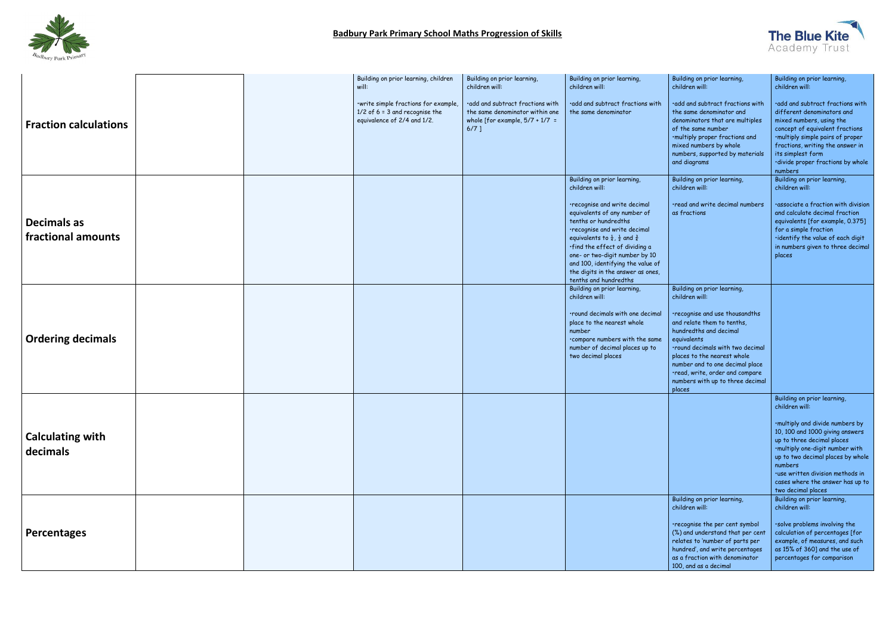

|                                     |  | Building on prior learning, children<br>will:                                                           | Building on prior learning,<br>children will:                                                                       | Building on prior learning,<br>children will:                                                                                                                                                                                                                                                                                                               | Building on prior learning,<br>children will:                                                                                                                                                                                                                                                | Building on prior learning,<br>children will:                                                                                                                                                                                                                                     |
|-------------------------------------|--|---------------------------------------------------------------------------------------------------------|---------------------------------------------------------------------------------------------------------------------|-------------------------------------------------------------------------------------------------------------------------------------------------------------------------------------------------------------------------------------------------------------------------------------------------------------------------------------------------------------|----------------------------------------------------------------------------------------------------------------------------------------------------------------------------------------------------------------------------------------------------------------------------------------------|-----------------------------------------------------------------------------------------------------------------------------------------------------------------------------------------------------------------------------------------------------------------------------------|
| <b>Fraction calculations</b>        |  | ·write simple fractions for example,<br>$1/2$ of 6 = 3 and recognise the<br>equivalence of 2/4 and 1/2. | .add and subtract fractions with<br>the same denominator within one<br>whole [for example, $5/7 + 1/7 =$<br>$6/7$ ] | .add and subtract fractions with<br>the same denominator                                                                                                                                                                                                                                                                                                    | add and subtract fractions with<br>the same denominator and<br>denominators that are multiples<br>of the same number<br>·multiply proper fractions and<br>mixed numbers by whole<br>numbers, supported by materials<br>and diagrams                                                          | ·add and subtract fractions with<br>different denominators and<br>mixed numbers, using the<br>concept of equivalent fractions<br>·multiply simple pairs of proper<br>fractions, writing the answer in<br>its simplest form<br>·divide proper fractions by whole<br>numbers        |
|                                     |  |                                                                                                         |                                                                                                                     | Building on prior learning,<br>children will:                                                                                                                                                                                                                                                                                                               | Building on prior learning,<br>children will:                                                                                                                                                                                                                                                | Building on prior learning,<br>children will:                                                                                                                                                                                                                                     |
| Decimals as<br>fractional amounts   |  |                                                                                                         |                                                                                                                     | recognise and write decimal<br>equivalents of any number of<br>tenths or hundredths<br>recognise and write decimal<br>equivalents to $\frac{1}{4}$ , $\frac{1}{2}$ and $\frac{3}{4}$<br>·find the effect of dividing a<br>one- or two-digit number by 10<br>and 100, identifying the value of<br>the digits in the answer as ones,<br>tenths and hundredths | .read and write decimal numbers<br>as fractions                                                                                                                                                                                                                                              | ·associate a fraction with division<br>and calculate decimal fraction<br>equivalents [for example, 0.375]<br>for a simple fraction<br>·identify the value of each digit<br>in numbers given to three decimal<br>places                                                            |
|                                     |  |                                                                                                         |                                                                                                                     | Building on prior learning,<br>children will:                                                                                                                                                                                                                                                                                                               | Building on prior learning,<br>children will:                                                                                                                                                                                                                                                |                                                                                                                                                                                                                                                                                   |
| <b>Ordering decimals</b>            |  |                                                                                                         |                                                                                                                     | .round decimals with one decimal<br>place to the nearest whole<br>number<br>compare numbers with the same<br>number of decimal places up to<br>two decimal places                                                                                                                                                                                           | ·recognise and use thousandths<br>and relate them to tenths,<br>hundredths and decimal<br>equivalents<br>.round decimals with two decimal<br>places to the nearest whole<br>number and to one decimal place<br>·read, write, order and compare<br>numbers with up to three decimal<br>places |                                                                                                                                                                                                                                                                                   |
|                                     |  |                                                                                                         |                                                                                                                     |                                                                                                                                                                                                                                                                                                                                                             |                                                                                                                                                                                                                                                                                              | Building on prior learning,<br>children will:                                                                                                                                                                                                                                     |
| <b>Calculating with</b><br>decimals |  |                                                                                                         |                                                                                                                     |                                                                                                                                                                                                                                                                                                                                                             |                                                                                                                                                                                                                                                                                              | ·multiply and divide numbers by<br>10, 100 and 1000 giving answers<br>up to three decimal places<br>.multiply one-digit number with<br>up to two decimal places by whole<br>numbers<br>·use written division methods in<br>cases where the answer has up to<br>two decimal places |
|                                     |  |                                                                                                         |                                                                                                                     |                                                                                                                                                                                                                                                                                                                                                             | Building on prior learning,<br>children will:                                                                                                                                                                                                                                                | Building on prior learning,<br>children will:                                                                                                                                                                                                                                     |
| Percentages                         |  |                                                                                                         |                                                                                                                     |                                                                                                                                                                                                                                                                                                                                                             | •recognise the per cent symbol<br>(%) and understand that per cent<br>relates to 'number of parts per<br>hundred', and write percentages<br>as a fraction with denominator<br>100, and as a decimal                                                                                          | ·solve problems involving the<br>calculation of percentages [for<br>example, of measures, and such<br>as 15% of 360] and the use of<br>percentages for comparison                                                                                                                 |

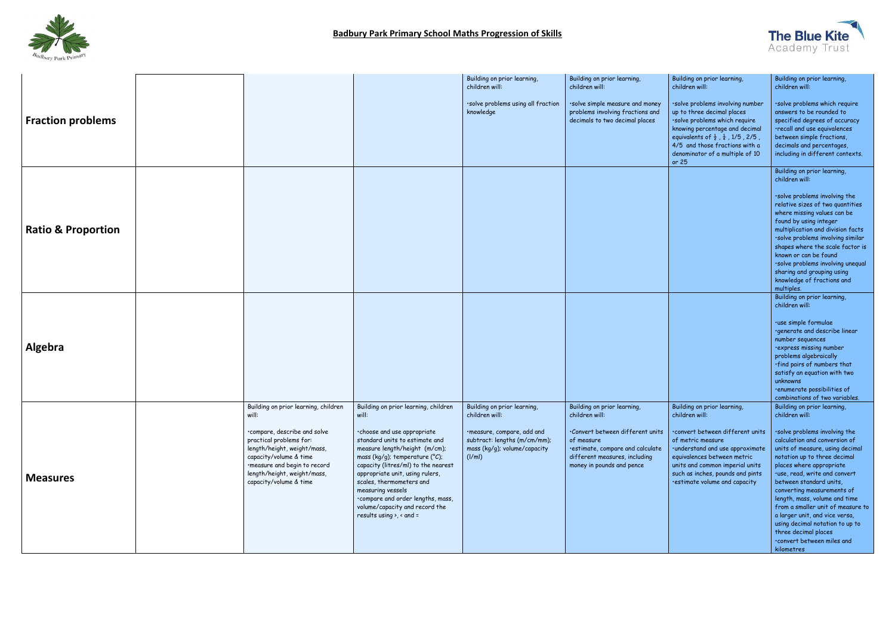

|                               |                                                                                                                                                                                                                                                            |                                                                                                                                                                                                                                                                                                                                                                                                                                         | Building on prior learning,<br>children will:                                                                                                                | Building on prior learning,<br>children will:                                                                                                                                                     | Building on prior learning,<br>children will:                                                                                                                                                                                                                                    | Building on prior learning,<br>children will:                                                                                                                                                                                                                                                                                                                                                                                                                                                                           |
|-------------------------------|------------------------------------------------------------------------------------------------------------------------------------------------------------------------------------------------------------------------------------------------------------|-----------------------------------------------------------------------------------------------------------------------------------------------------------------------------------------------------------------------------------------------------------------------------------------------------------------------------------------------------------------------------------------------------------------------------------------|--------------------------------------------------------------------------------------------------------------------------------------------------------------|---------------------------------------------------------------------------------------------------------------------------------------------------------------------------------------------------|----------------------------------------------------------------------------------------------------------------------------------------------------------------------------------------------------------------------------------------------------------------------------------|-------------------------------------------------------------------------------------------------------------------------------------------------------------------------------------------------------------------------------------------------------------------------------------------------------------------------------------------------------------------------------------------------------------------------------------------------------------------------------------------------------------------------|
| <b>Fraction problems</b>      |                                                                                                                                                                                                                                                            |                                                                                                                                                                                                                                                                                                                                                                                                                                         | ·solve problems using all fraction<br>knowledge                                                                                                              | ·solve simple measure and money<br>problems involving fractions and<br>decimals to two decimal places                                                                                             | ·solve problems involving number<br>up to three decimal places<br>·solve problems which require<br>knowing percentage and decimal<br>equivalents of $\frac{1}{2}$ , $\frac{1}{4}$ , 1/5, 2/5,<br>4/5 and those fractions with a<br>denominator of a multiple of 10<br>or $25$    | ·solve problems which require<br>answers to be rounded to<br>specified degrees of accuracy<br>·recall and use equivalences<br>between simple fractions,<br>decimals and percentages,<br>including in different contexts.                                                                                                                                                                                                                                                                                                |
| <b>Ratio &amp; Proportion</b> |                                                                                                                                                                                                                                                            |                                                                                                                                                                                                                                                                                                                                                                                                                                         |                                                                                                                                                              |                                                                                                                                                                                                   |                                                                                                                                                                                                                                                                                  | Building on prior learning,<br>children will:<br>·solve problems involving the<br>relative sizes of two quantities<br>where missing values can be<br>found by using integer<br>multiplication and division facts<br>·solve problems involving similar<br>shapes where the scale factor is<br>known or can be found<br>·solve problems involving unequal<br>sharing and grouping using<br>knowledge of fractions and<br>multiples.                                                                                       |
| Algebra                       |                                                                                                                                                                                                                                                            |                                                                                                                                                                                                                                                                                                                                                                                                                                         |                                                                                                                                                              |                                                                                                                                                                                                   |                                                                                                                                                                                                                                                                                  | Building on prior learning,<br>children will:<br>·use simple formulae<br>·generate and describe linear<br>number sequences<br>express missing number<br>problems algebraically<br>.find pairs of numbers that<br>satisfy an equation with two<br>unknowns<br>·enumerate possibilities of<br>combinations of two variables.                                                                                                                                                                                              |
| <b>Measures</b>               | Building on prior learning, children<br>will:<br>·compare, describe and solve<br>practical problems for:<br>length/height, weight/mass,<br>capacity/volume & time<br>·measure and begin to record<br>length/height, weight/mass,<br>capacity/volume & time | Building on prior learning, children<br>will:<br>.choose and use appropriate<br>standard units to estimate and<br>measure length/height (m/cm);<br>mass (kg/g); temperature ( $^{\circ}$ C);<br>capacity (litres/ml) to the nearest<br>appropriate unit, using rulers,<br>scales, thermometers and<br>measuring vessels<br>.compare and order lengths, mass,<br>volume/capacity and record the<br>results using $\rightarrow$ , < and = | Building on prior learning,<br>children will:<br>·measure, compare, add and<br>subtract: lengths (m/cm/mm);<br>mass (kg/g); volume/capacity<br>$\frac{1}{m}$ | Building on prior learning,<br>children will:<br>·Convert between different units<br>of measure<br>·estimate, compare and calculate<br>different measures, including<br>money in pounds and pence | Building on prior learning,<br>children will:<br>·convert between different units<br>of metric measure<br>·understand and use approximate<br>equivalences between metric<br>units and common imperial units<br>such as inches, pounds and pints<br>·estimate volume and capacity | Building on prior learning,<br>children will:<br>·solve problems involving the<br>calculation and conversion of<br>units of measure, using decimal<br>notation up to three decimal<br>places where appropriate<br>·use, read, write and convert<br>between standard units,<br>converting measurements of<br>length, mass, volume and time<br>from a smaller unit of measure to<br>a larger unit, and vice versa,<br>using decimal notation to up to<br>three decimal places<br>.convert between miles and<br>kilometres |

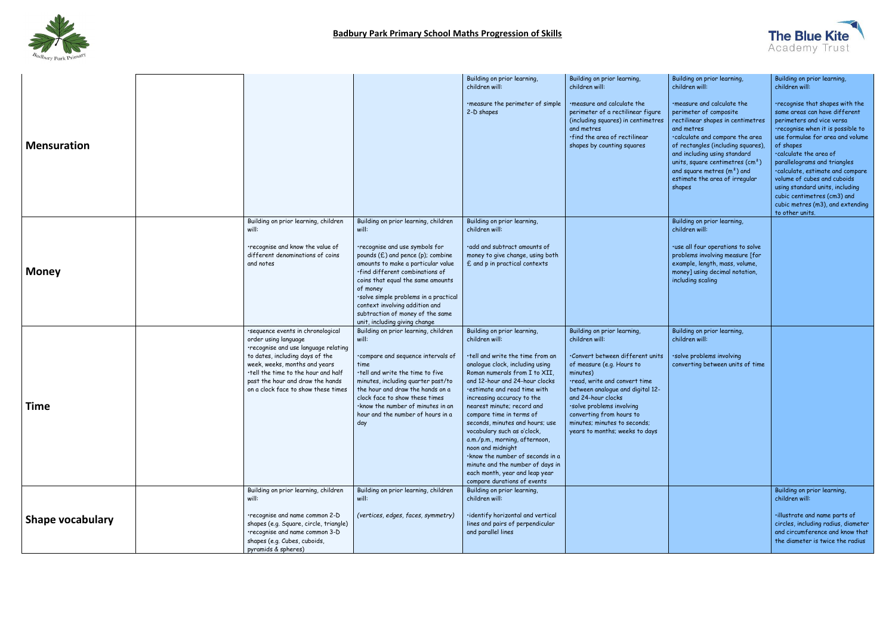

|                         |                                                                                                                                                                                                                                                                                         |                                                                                                                                                                                                                                                                                                                                                                                                | Building on prior learning,<br>children will:                                                                                                                                                                                                                                                                                                                                                                                                                                                                                                                                     | Building on prior learning,<br>children will:                                                                                                                                                                                                                                                                                                   | Building on prior learning,<br>children will:                                                                                                                                                                                                                                                                                                | Building on prior learning,<br>children will:                                                                                                                                                                                                                                                                                                                                                                                             |
|-------------------------|-----------------------------------------------------------------------------------------------------------------------------------------------------------------------------------------------------------------------------------------------------------------------------------------|------------------------------------------------------------------------------------------------------------------------------------------------------------------------------------------------------------------------------------------------------------------------------------------------------------------------------------------------------------------------------------------------|-----------------------------------------------------------------------------------------------------------------------------------------------------------------------------------------------------------------------------------------------------------------------------------------------------------------------------------------------------------------------------------------------------------------------------------------------------------------------------------------------------------------------------------------------------------------------------------|-------------------------------------------------------------------------------------------------------------------------------------------------------------------------------------------------------------------------------------------------------------------------------------------------------------------------------------------------|----------------------------------------------------------------------------------------------------------------------------------------------------------------------------------------------------------------------------------------------------------------------------------------------------------------------------------------------|-------------------------------------------------------------------------------------------------------------------------------------------------------------------------------------------------------------------------------------------------------------------------------------------------------------------------------------------------------------------------------------------------------------------------------------------|
| <b>Mensuration</b>      |                                                                                                                                                                                                                                                                                         |                                                                                                                                                                                                                                                                                                                                                                                                | . measure the perimeter of simple<br>2-D shapes                                                                                                                                                                                                                                                                                                                                                                                                                                                                                                                                   | measure and calculate the<br>perimeter of a rectilinear figure<br>(including squares) in centimetres<br>and metres<br>·find the area of rectilinear<br>shapes by counting squares                                                                                                                                                               | . measure and calculate the<br>perimeter of composite<br>rectilinear shapes in centimetres<br>and metres<br>·calculate and compare the area<br>of rectangles (including squares)<br>and including using standard<br>units, square centimetres (cm <sup>2</sup> )<br>and square metres $(m2)$ and<br>estimate the area of irregular<br>shapes | ·recognise that shapes with the<br>same areas can have different<br>perimeters and vice versa<br>·recognise when it is possible to<br>use formulae for area and volume<br>of shapes<br>·calculate the area of<br>parallelograms and triangles<br>·calculate, estimate and compare<br>volume of cubes and cuboids<br>using standard units, including<br>cubic centimetres (cm3) and<br>cubic metres (m3), and extending<br>to other units. |
| <b>Money</b>            | Building on prior learning, children<br>will:<br>·recognise and know the value of<br>different denominations of coins<br>and notes                                                                                                                                                      | Building on prior learning, children<br>will:<br>·recognise and use symbols for<br>pounds (£) and pence (p); combine<br>amounts to make a particular value<br>·find different combinations of<br>coins that equal the same amounts<br>of money<br>·solve simple problems in a practical<br>context involving addition and<br>subtraction of money of the same<br>unit, including giving change | Building on prior learning,<br>children will:<br>.add and subtract amounts of<br>money to give change, using both<br>£ and p in practical contexts                                                                                                                                                                                                                                                                                                                                                                                                                                |                                                                                                                                                                                                                                                                                                                                                 | Building on prior learning,<br>children will:<br>·use all four operations to solve<br>problems involving measure [for<br>example, length, mass, volume,<br>money] using decimal notation,<br>including scaling                                                                                                                               |                                                                                                                                                                                                                                                                                                                                                                                                                                           |
| <b>Time</b>             | ·sequence events in chronological<br>order using language<br>·recognise and use language relating<br>to dates, including days of the<br>week, weeks, months and years<br>.tell the time to the hour and half<br>past the hour and draw the hands<br>on a clock face to show these times | Building on prior learning, children<br>will:<br>·compare and sequence intervals of<br>time<br>·tell and write the time to five<br>minutes, including quarter past/to<br>the hour and draw the hands on a<br>clock face to show these times<br>·know the number of minutes in an<br>hour and the number of hours in a<br>day                                                                   | Building on prior learning,<br>children will:<br>·tell and write the time from an<br>analogue clock, including using<br>Roman numerals from I to XII,<br>and 12-hour and 24-hour clocks<br>·estimate and read time with<br>increasing accuracy to the<br>nearest minute; record and<br>compare time in terms of<br>seconds, minutes and hours; use<br>vocabulary such as o'clock,<br>a.m./p.m., morning, afternoon,<br>noon and midnight<br>·know the number of seconds in a<br>minute and the number of days in<br>each month, year and leap year<br>compare durations of events | Building on prior learning,<br>children will:<br>Convert between different units<br>of measure (e.g. Hours to<br>minutes)<br>.read, write and convert time<br>between analogue and digital 12-<br>and 24-hour clocks<br>·solve problems involving<br>converting from hours to<br>minutes; minutes to seconds;<br>years to months; weeks to days | Building on prior learning,<br>children will:<br>·solve problems involving<br>converting between units of time                                                                                                                                                                                                                               |                                                                                                                                                                                                                                                                                                                                                                                                                                           |
| <b>Shape vocabulary</b> | Building on prior learning, children<br>will:<br>·recognise and name common 2-D<br>shapes (e.g. Square, circle, triangle)<br>·recognise and name common 3-D<br>shapes (e.g. Cubes, cuboids,<br>pyramids & spheres)                                                                      | Building on prior learning, children<br>will:<br>(vertices, edges, faces, symmetry)                                                                                                                                                                                                                                                                                                            | Building on prior learning,<br>children will:<br>·identify horizontal and vertical<br>lines and pairs of perpendicular<br>and parallel lines                                                                                                                                                                                                                                                                                                                                                                                                                                      |                                                                                                                                                                                                                                                                                                                                                 |                                                                                                                                                                                                                                                                                                                                              | Building on prior learning,<br>children will:<br>·illustrate and name parts of<br>circles, including radius, diameter<br>and circumference and know that<br>the diameter is twice the radius                                                                                                                                                                                                                                              |

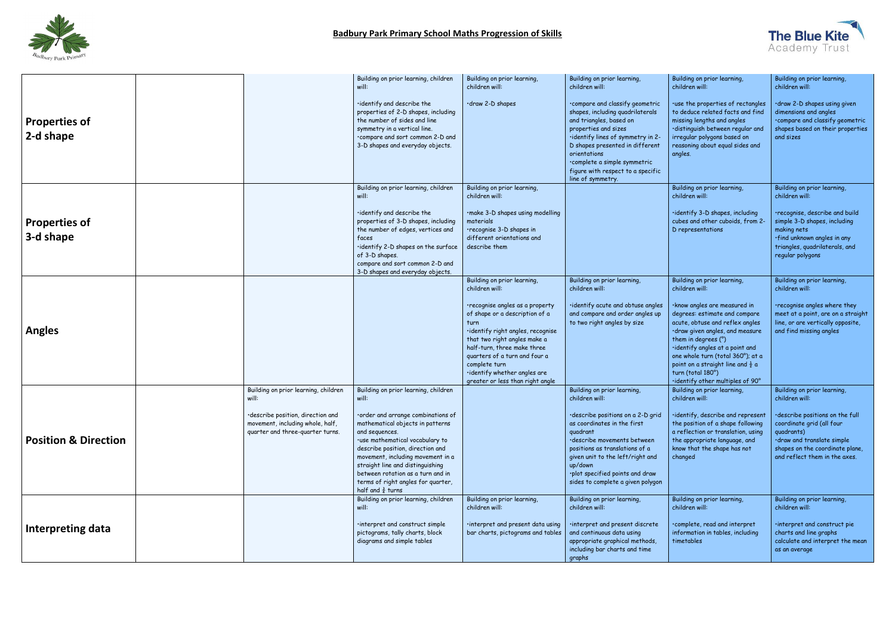

|                                 |       |                                                                                                                                                   | Building on prior learning, children<br>will:                                                                                                                                                                                                                                                                                                                                                        | Building on prior learning,<br>children will:                                                                                                                                                                                                                                                                                                        | Building on prior learning,<br>children will:                                                                                                                                                                                                                                                                        | Building on prior learning,<br>children will:                                                                                                                                                                                                                                                                                                                                                | Building on prior learning,<br>children will:                                                                                                                                                                                 |
|---------------------------------|-------|---------------------------------------------------------------------------------------------------------------------------------------------------|------------------------------------------------------------------------------------------------------------------------------------------------------------------------------------------------------------------------------------------------------------------------------------------------------------------------------------------------------------------------------------------------------|------------------------------------------------------------------------------------------------------------------------------------------------------------------------------------------------------------------------------------------------------------------------------------------------------------------------------------------------------|----------------------------------------------------------------------------------------------------------------------------------------------------------------------------------------------------------------------------------------------------------------------------------------------------------------------|----------------------------------------------------------------------------------------------------------------------------------------------------------------------------------------------------------------------------------------------------------------------------------------------------------------------------------------------------------------------------------------------|-------------------------------------------------------------------------------------------------------------------------------------------------------------------------------------------------------------------------------|
| Properties of<br>2-d shape      |       |                                                                                                                                                   | ·identify and describe the<br>properties of 2-D shapes, including<br>the number of sides and line<br>symmetry in a vertical line.<br>.compare and sort common 2-D and<br>3-D shapes and everyday objects.                                                                                                                                                                                            | ·draw 2-D shapes                                                                                                                                                                                                                                                                                                                                     | ·compare and classify geometric<br>shapes, including quadrilaterals<br>and triangles, based on<br>properties and sizes<br>·identify lines of symmetry in 2-<br>D shapes presented in different<br>orientations<br>·complete a simple symmetric<br>figure with respect to a specific<br>line of symmetry.             | ·use the properties of rectangles<br>to deduce related facts and find<br>missing lengths and angles<br>·distinguish between regular and<br>irregular polygons based on<br>reasoning about equal sides and<br>angles.                                                                                                                                                                         | ·draw 2-D shapes using given<br>dimensions and angles<br>·compare and classify geometric<br>shapes based on their properties<br>and sizes                                                                                     |
| Properties of<br>3-d shape      |       |                                                                                                                                                   | Building on prior learning, children<br>will:<br>·identify and describe the<br>properties of 3-D shapes, including<br>the number of edges, vertices and<br>faces<br>·identify 2-D shapes on the surface<br>of 3-D shapes.<br>compare and sort common 2-D and<br>3-D shapes and everyday objects.                                                                                                     | Building on prior learning,<br>children will:<br>·make 3-D shapes using modelling<br>materials<br>•recognise 3-D shapes in<br>different orientations and<br>describe them                                                                                                                                                                            |                                                                                                                                                                                                                                                                                                                      | Building on prior learning,<br>children will:<br>$\cdot$ identify 3-D shapes, including<br>cubes and other cuboids, from 2-<br>D representations                                                                                                                                                                                                                                             | Building on prior learning,<br>children will:<br>·recognise, describe and build<br>simple 3-D shapes, including<br>making nets<br>·find unknown angles in any<br>triangles, quadrilaterals, and<br>regular polygons           |
| <b>Angles</b>                   |       |                                                                                                                                                   |                                                                                                                                                                                                                                                                                                                                                                                                      | Building on prior learning,<br>children will:<br>·recognise angles as a property<br>of shape or a description of a<br>turn<br>·identify right angles, recognise<br>that two right angles make a<br>half-turn, three make three<br>quarters of a turn and four a<br>complete turn<br>·identify whether angles are<br>greater or less than right angle | Building on prior learning,<br>children will:<br>·identify acute and obtuse angles<br>and compare and order angles up<br>to two right angles by size                                                                                                                                                                 | Building on prior learning,<br>children will:<br>·know angles are measured in<br>degrees: estimate and compare<br>acute, obtuse and reflex angles<br>·draw given angles, and measure<br>them in degrees (°)<br>·identify angles at a point and<br>one whole turn (total 360°); at a<br>point on a straight line and $\frac{1}{2}$ a<br>turn (total 180°)<br>·identify other multiples of 90° | Building on prior learning,<br>children will:<br>·recognise angles where they<br>meet at a point, are on a straight<br>line, or are vertically opposite,<br>and find missing angles                                           |
| <b>Position &amp; Direction</b> | will: | Building on prior learning, children<br>·describe position, direction and<br>movement, including whole, half,<br>quarter and three-quarter turns. | Building on prior learning, children<br>will:<br>·order and arrange combinations of<br>mathematical objects in patterns<br>and sequences.<br>·use mathematical vocabulary to<br>describe position, direction and<br>movement, including movement in a<br>straight line and distinguishing<br>between rotation as a turn and in<br>terms of right angles for quarter,<br>half and $\frac{3}{4}$ turns |                                                                                                                                                                                                                                                                                                                                                      | Building on prior learning,<br>children will:<br>·describe positions on a 2-D grid<br>as coordinates in the first<br>quadrant<br>describe movements between<br>positions as translations of a<br>given unit to the left/right and<br>up/down<br>·plot specified points and draw<br>sides to complete a given polygon | Building on prior learning,<br>children will:<br>·identify, describe and represent<br>the position of a shape following<br>a reflection or translation, using<br>the appropriate language, and<br>know that the shape has not<br>changed                                                                                                                                                     | Building on prior learning,<br>children will:<br>·describe positions on the full<br>coordinate grid (all four<br>quadrants)<br>·draw and translate simple<br>shapes on the coordinate plane,<br>and reflect them in the axes. |
| Interpreting data               |       |                                                                                                                                                   | Building on prior learning, children<br>will:<br>interpret and construct simple<br>pictograms, tally charts, block<br>diagrams and simple tables                                                                                                                                                                                                                                                     | Building on prior learning,<br>children will:<br>·interpret and present data using<br>bar charts, pictograms and tables                                                                                                                                                                                                                              | Building on prior learning,<br>children will:<br>interpret and present discrete<br>and continuous data using<br>appropriate graphical methods,<br>including bar charts and time<br>graphs                                                                                                                            | Building on prior learning,<br>children will:<br>complete, read and interpret<br>information in tables, including<br>timetables                                                                                                                                                                                                                                                              | Building on prior learning,<br>children will:<br>interpret and construct pie<br>charts and line graphs<br>calculate and interpret the mean<br>as an average                                                                   |